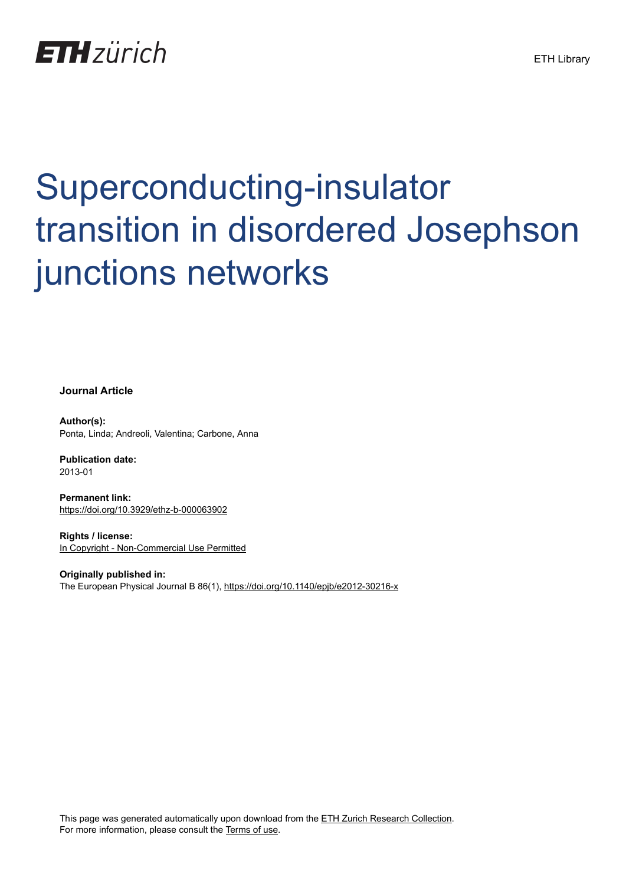

## Superconducting-insulator transition in disordered Josephson junctions networks

**Journal Article**

**Author(s):** Ponta, Linda; Andreoli, Valentina; Carbone, Anna

**Publication date:** 2013-01

**Permanent link:** <https://doi.org/10.3929/ethz-b-000063902>

**Rights / license:** [In Copyright - Non-Commercial Use Permitted](http://rightsstatements.org/page/InC-NC/1.0/)

**Originally published in:** The European Physical Journal B 86(1),<https://doi.org/10.1140/epjb/e2012-30216-x>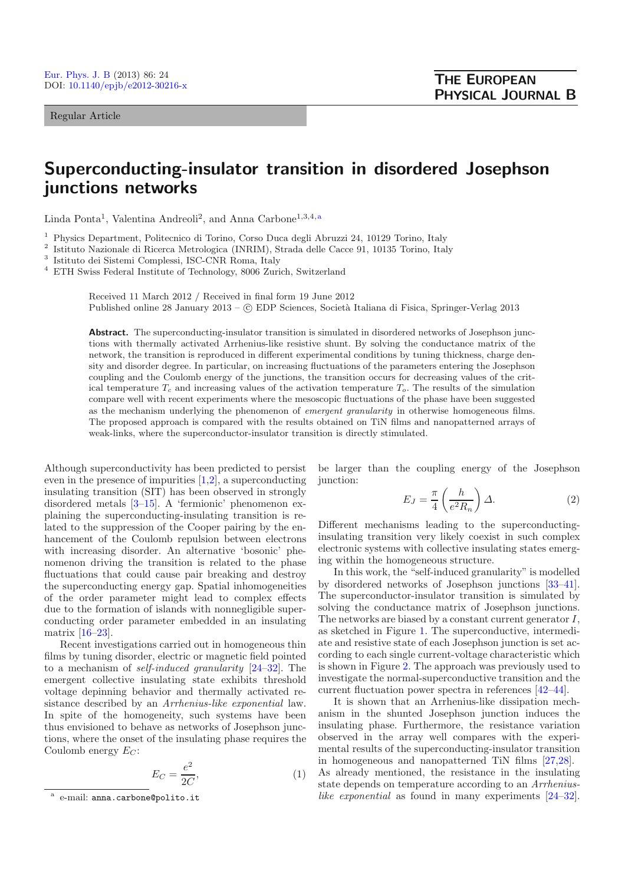Regular Article

## **Superconducting-insulator transition in disordered Josephson junctions networks**

Linda Ponta<sup>1</sup>, Valentina Andreoli<sup>2</sup>, and Anna Carbone<sup>1,3,4,a</sup>

<sup>1</sup> Physics Department, Politecnico di Torino, Corso Duca degli Abruzzi 24, 10129 Torino, Italy

<sup>2</sup> Istituto Nazionale di Ricerca Metrologica (INRIM), Strada delle Cacce 91, 10135 Torino, Italy

<sup>3</sup> Istituto dei Sistemi Complessi, ISC-CNR Roma, Italy

<sup>4</sup> ETH Swiss Federal Institute of Technology, 8006 Zurich, Switzerland

Received 11 March 2012 / Received in final form 19 June 2012 Published online 28 January 2013 –  $\odot$  EDP Sciences, Società Italiana di Fisica, Springer-Verlag 2013

**Abstract.** The superconducting-insulator transition is simulated in disordered networks of Josephson junctions with thermally activated Arrhenius-like resistive shunt. By solving the conductance matrix of the network, the transition is reproduced in different experimental conditions by tuning thickness, charge density and disorder degree. In particular, on increasing fluctuations of the parameters entering the Josephson coupling and the Coulomb energy of the junctions, the transition occurs for decreasing values of the critical temperature  $T_c$  and increasing values of the activation temperature  $T_o$ . The results of the simulation compare well with recent experiments where the mesoscopic fluctuations of the phase have been suggested as the mechanism underlying the phenomenon of *emergent granularity* in otherwise homogeneous films. The proposed approach is compared with the results obtained on TiN films and nanopatterned arrays of weak-links, where the superconductor-insulator transition is directly stimulated.

Although superconductivity has been predicted to persist even in the presence of impurities [\[1](#page-5-0)[,2](#page-5-1)], a superconducting insulating transition (SIT) has been observed in strongly disordered metals [\[3](#page-5-2)[–15](#page-5-3)]. A 'fermionic' phenomenon explaining the superconducting-insulating transition is related to the suppression of the Cooper pairing by the enhancement of the Coulomb repulsion between electrons with increasing disorder. An alternative 'bosonic' phenomenon driving the transition is related to the phase fluctuations that could cause pair breaking and destroy the superconducting energy gap. Spatial inhomogeneities of the order parameter might lead to complex effects due to the formation of islands with nonnegligible superconducting order parameter embedded in an insulating matrix [\[16](#page-5-4)[–23](#page-5-5)].

Recent investigations carried out in homogeneous thin films by tuning disorder, electric or magnetic field pointed to a mechanism of *self-induced granularity* [\[24](#page-5-6)[–32\]](#page-5-7). The emergent collective insulating state exhibits threshold voltage depinning behavior and thermally activated resistance described by an *Arrhenius-like exponential* law. In spite of the homogeneity, such systems have been thus envisioned to behave as networks of Josephson junctions, where the onset of the insulating phase requires the Coulomb energy  $E_C$ :

$$
E_C = \frac{e^2}{2C},\tag{1}
$$

<span id="page-1-0"></span>be larger than the coupling energy of the Josephson junction:

$$
E_J = \frac{\pi}{4} \left( \frac{h}{e^2 R_n} \right) \Delta.
$$
 (2)

Different mechanisms leading to the superconductinginsulating transition very likely coexist in such complex electronic systems with collective insulating states emerging within the homogeneous structure.

In this work, the "self-induced granularity" is modelled by disordered networks of Josephson junctions [\[33](#page-5-8)[–41\]](#page-5-9). The superconductor-insulator transition is simulated by solving the conductance matrix of Josephson junctions. The networks are biased by a constant current generator I, as sketched in Figure [1.](#page-2-0) The superconductive, intermediate and resistive state of each Josephson junction is set according to each single current-voltage characteristic which is shown in Figure [2.](#page-2-1) The approach was previously used to investigate the normal-superconductive transition and the current fluctuation power spectra in references [\[42](#page-5-10)[–44\]](#page-5-11).

It is shown that an Arrhenius-like dissipation mechanism in the shunted Josephson junction induces the insulating phase. Furthermore, the resistance variation observed in the array well compares with the experimental results of the superconducting-insulator transition in homogeneous and nanopatterned TiN films [\[27](#page-5-12)[,28\]](#page-5-13). As already mentioned, the resistance in the insulating state depends on temperature according to an *Arrheniuslike exponential* as found in many experiments [\[24](#page-5-6)[–32\]](#page-5-7).

e-mail: anna.carbone@polito.it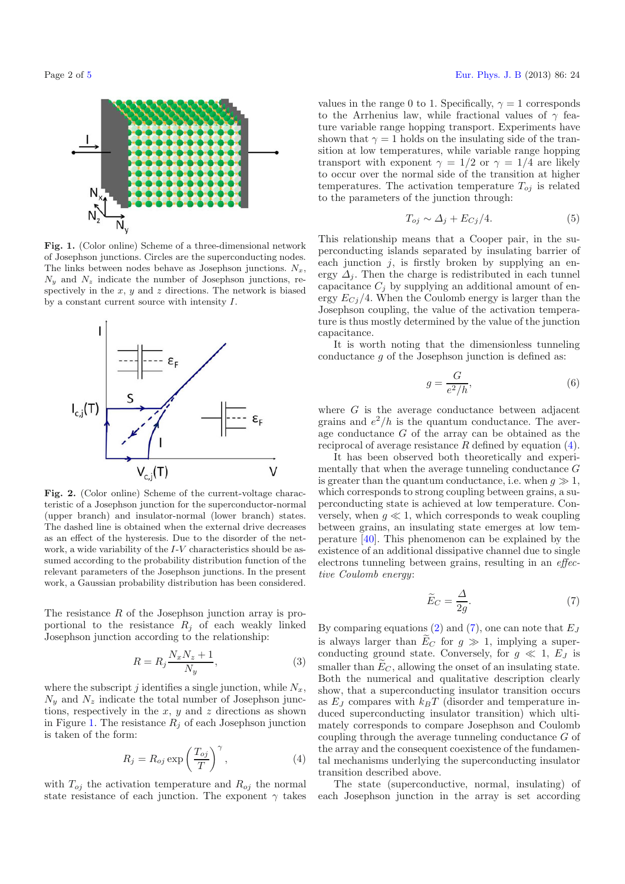<span id="page-2-0"></span>

**Fig. 1.** (Color online) Scheme of a three-dimensional network of Josephson junctions. Circles are the superconducting nodes. The links between nodes behave as Josephson junctions.  $N_x$ ,  $N_y$  and  $N_z$  indicate the number of Josephson junctions, respectively in the  $x, y$  and  $z$  directions. The network is biased by a constant current source with intensity I.

<span id="page-2-1"></span>

**Fig. 2.** (Color online) Scheme of the current-voltage characteristic of a Josephson junction for the superconductor-normal (upper branch) and insulator-normal (lower branch) states. The dashed line is obtained when the external drive decreases as an effect of the hysteresis. Due to the disorder of the network, a wide variability of the I-V characteristics should be assumed according to the probability distribution function of the relevant parameters of the Josephson junctions. In the present work, a Gaussian probability distribution has been considered.

<span id="page-2-2"></span>The resistance  $R$  of the Josephson junction array is proportional to the resistance  $R_j$  of each weakly linked Josephson junction according to the relationship:

$$
R = R_j \frac{N_x N_z + 1}{N_y},\tag{3}
$$

where the subscript j identifies a single junction, while  $N_x$ ,  $N_y$  and  $N_z$  indicate the total number of Josephson junctions, respectively in the  $x, y$  and  $z$  directions as shown in Figure [1.](#page-2-0) The resistance  $R_j$  of each Josephson junction is taken of the form:

$$
R_j = R_{oj} \exp\left(\frac{T_{oj}}{T}\right)^{\gamma},\tag{4}
$$

with  $T_{oj}$  the activation temperature and  $R_{oj}$  the normal state resistance of each junction. The exponent  $\gamma$  takes

values in the range 0 to 1. Specifically,  $\gamma = 1$  corresponds to the Arrhenius law, while fractional values of  $\gamma$  feature variable range hopping transport. Experiments have shown that  $\gamma = 1$  holds on the insulating side of the transition at low temperatures, while variable range hopping transport with exponent  $\gamma = 1/2$  or  $\gamma = 1/4$  are likely to occur over the normal side of the transition at higher temperatures. The activation temperature  $T_{oj}$  is related to the parameters of the junction through:

$$
T_{oj} \sim \Delta_j + E_{Cj}/4. \tag{5}
$$

This relationship means that a Cooper pair, in the superconducting islands separated by insulating barrier of each junction  $j$ , is firstly broken by supplying an energy  $\Delta_i$ . Then the charge is redistributed in each tunnel capacitance  $C_j$  by supplying an additional amount of energy  $E_{Cj}/4$ . When the Coulomb energy is larger than the Josephson coupling, the value of the activation temperature is thus mostly determined by the value of the junction capacitance.

It is worth noting that the dimensionless tunneling conductance  $q$  of the Josephson junction is defined as:

$$
g = \frac{G}{e^2/h},\tag{6}
$$

<span id="page-2-3"></span>where  $G$  is the average conductance between adjacent grains and  $e^2/h$  is the quantum conductance. The average conductance  $G$  of the array can be obtained as the reciprocal of average resistance R defined by equation [\(4\)](#page-2-2).

<span id="page-2-4"></span>It has been observed both theoretically and experimentally that when the average tunneling conductance G is greater than the quantum conductance, i.e. when  $q \gg 1$ . which corresponds to strong coupling between grains, a superconducting state is achieved at low temperature. Conversely, when  $g \ll 1$ , which corresponds to weak coupling between grains, an insulating state emerges at low temperature [\[40](#page-5-15)]. This phenomenon can be explained by the existence of an additional dissipative channel due to single electrons tunneling between grains, resulting in an *effective Coulomb energy*:

$$
\widetilde{E}_C = \frac{\Delta}{2g}.\tag{7}
$$

By comparing equations [\(2\)](#page-1-0) and [\(7\)](#page-2-3), one can note that  $E_J$ is always larger than  $E_C$  for  $g \gg 1$ , implying a super-<br>conducting ground state. Conversely for  $g \ll 1$ ,  $E_L$  is conducting ground state. Conversely, for  $g \ll 1$ ,  $E_J$  is<br>smaller than  $\widetilde{F}_{\widetilde{G}}$  allowing the onset of an insulating state smaller than  $\widetilde{E}_C$ , allowing the onset of an insulating state. Both the numerical and qualitative description clearly show, that a superconducting insulator transition occurs as  $E_J$  compares with  $k_BT$  (disorder and temperature induced superconducting insulator transition) which ultimately corresponds to compare Josephson and Coulomb coupling through the average tunneling conductance G of the array and the consequent coexistence of the fundamental mechanisms underlying the superconducting insulator transition described above.

The state (superconductive, normal, insulating) of each Josephson junction in the array is set according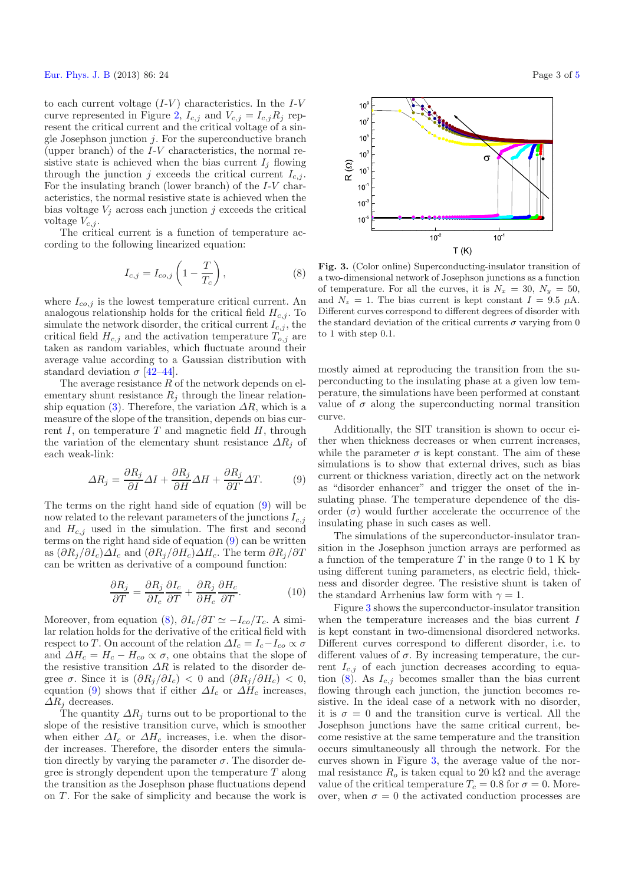<span id="page-3-1"></span>to each current voltage  $(I-V)$  characteristics. In the  $I-V$ curve represented in Figure [2,](#page-2-1)  $I_{c,j}$  and  $V_{c,j} = I_{c,j}R_j$  represent the critical current and the critical voltage of a single Josephson junction  $j$ . For the superconductive branch (upper branch) of the I-V characteristics, the normal resistive state is achieved when the bias current  $I_j$  flowing through the junction j exceeds the critical current  $I_{c,j}$ . For the insulating branch (lower branch) of the I-V characteristics, the normal resistive state is achieved when the bias voltage  $V_i$  across each junction j exceeds the critical voltage  $V_{c,j}$ .

The critical current is a function of temperature according to the following linearized equation:

$$
I_{c,j} = I_{co,j} \left( 1 - \frac{T}{T_c} \right),\tag{8}
$$

<span id="page-3-0"></span>where  $I_{co,j}$  is the lowest temperature critical current. An analogous relationship holds for the critical field  $H_{c,j}$ . To simulate the network disorder, the critical current  $I_{c,j}$ , the critical field  $H_{c,j}$  and the activation temperature  $T_{o,j}$  are taken as random variables, which fluctuate around their average value according to a Gaussian distribution with standard deviation  $\sigma$  [\[42](#page-5-10)[–44](#page-5-11)].

The average resistance  $R$  of the network depends on elementary shunt resistance  $R_j$  through the linear relation-ship equation [\(3\)](#page-2-4). Therefore, the variation  $\Delta R$ , which is a measure of the slope of the transition, depends on bias current  $I$ , on temperature  $T$  and magnetic field  $H$ , through the variation of the elementary shunt resistance  $\Delta R_i$  of each weak-link:

$$
\Delta R_j = \frac{\partial R_j}{\partial I} \Delta I + \frac{\partial R_j}{\partial H} \Delta H + \frac{\partial R_j}{\partial T} \Delta T.
$$
 (9)

The terms on the right hand side of equation [\(9\)](#page-3-0) will be now related to the relevant parameters of the junctions  $I_{c,j}$ and  $H_{c,j}$  used in the simulation. The first and second terms on the right hand side of equation [\(9\)](#page-3-0) can be written as  $(\partial R_i/\partial I_c)\Delta I_c$  and  $(\partial R_i/\partial H_c)\Delta H_c$ . The term  $\partial R_i/\partial T_c$ can be written as derivative of a compound function:

$$
\frac{\partial R_j}{\partial T} = \frac{\partial R_j}{\partial I_c} \frac{\partial I_c}{\partial T} + \frac{\partial R_j}{\partial H_c} \frac{\partial H_c}{\partial T}.
$$
 (10)

Moreover, from equation [\(8\)](#page-3-1),  $\partial I_c/\partial T \simeq -I_{co}/T_c$ . A similar relation holds for the derivative of the critical field with respect to T. On account of the relation  $\Delta I_c = I_c - I_{co} \propto \sigma$ and  $\Delta H_c = H_c - H_{co} \propto \sigma$ , one obtains that the slope of the resistive transition  $\Delta R$  is related to the disorder degree  $\sigma$ . Since it is  $(\partial R_i/\partial I_c) < 0$  and  $(\partial R_i/\partial H_c) < 0$ , equation [\(9\)](#page-3-0) shows that if either  $\Delta I_c$  or  $\Delta H_c$  increases,  $\Delta R_j$  decreases.

The quantity  $\Delta R_i$  turns out to be proportional to the slope of the resistive transition curve, which is smoother when either  $\Delta I_c$  or  $\Delta H_c$  increases, i.e. when the disorder increases. Therefore, the disorder enters the simulation directly by varying the parameter  $\sigma$ . The disorder degree is strongly dependent upon the temperature  $T$  along the transition as the Josephson phase fluctuations depend on  $T$ . For the sake of simplicity and because the work is

<span id="page-3-2"></span>

**Fig. 3.** (Color online) Superconducting-insulator transition of a two-dimensional network of Josephson junctions as a function of temperature. For all the curves, it is  $N_x = 30$ ,  $N_y = 50$ , and  $N_z = 1$ . The bias current is kept constant  $I = 9.5 \mu A$ . Different curves correspond to different degrees of disorder with the standard deviation of the critical currents  $\sigma$  varying from 0 to 1 with step 0.1.

mostly aimed at reproducing the transition from the superconducting to the insulating phase at a given low temperature, the simulations have been performed at constant value of  $\sigma$  along the superconducting normal transition curve.

Additionally, the SIT transition is shown to occur either when thickness decreases or when current increases, while the parameter  $\sigma$  is kept constant. The aim of these simulations is to show that external drives, such as bias current or thickness variation, directly act on the network as "disorder enhancer" and trigger the onset of the insulating phase. The temperature dependence of the disorder  $(\sigma)$  would further accelerate the occurrence of the insulating phase in such cases as well.

The simulations of the superconductor-insulator transition in the Josephson junction arrays are performed as a function of the temperature  $T$  in the range 0 to 1 K by using different tuning parameters, as electric field, thickness and disorder degree. The resistive shunt is taken of the standard Arrhenius law form with  $\gamma = 1$ .

Figure [3](#page-3-2) shows the superconductor-insulator transition when the temperature increases and the bias current I is kept constant in two-dimensional disordered networks. Different curves correspond to different disorder, i.e. to different values of  $\sigma$ . By increasing temperature, the current  $I_{c,j}$  of each junction decreases according to equa-tion [\(8\)](#page-3-1). As  $I_{c,j}$  becomes smaller than the bias current flowing through each junction, the junction becomes resistive. In the ideal case of a network with no disorder, it is  $\sigma = 0$  and the transition curve is vertical. All the Josephson junctions have the same critical current, become resistive at the same temperature and the transition occurs simultaneously all through the network. For the curves shown in Figure [3,](#page-3-2) the average value of the normal resistance  $R_o$  is taken equal to 20 k $\Omega$  and the average value of the critical temperature  $T_c = 0.8$  for  $\sigma = 0$ . Moreover, when  $\sigma = 0$  the activated conduction processes are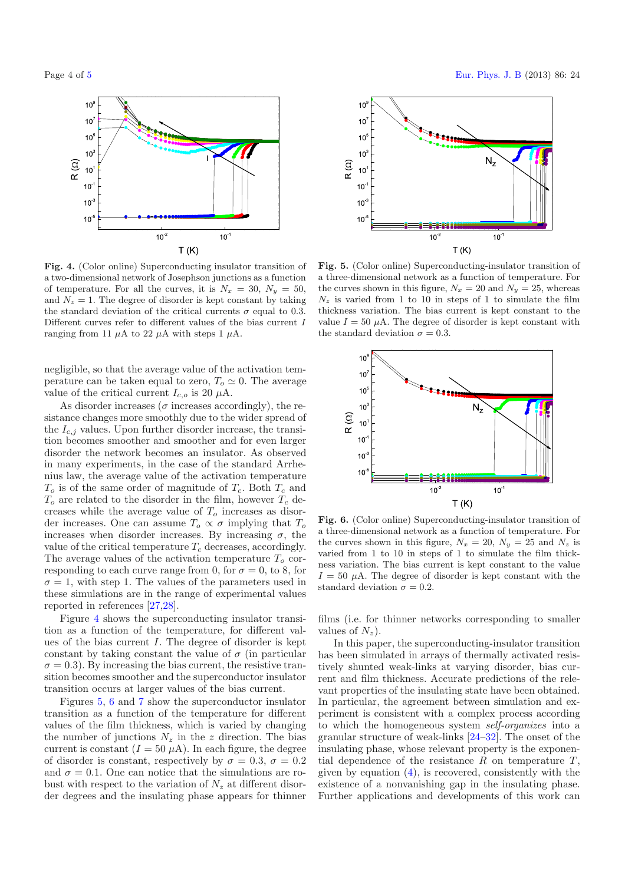<span id="page-4-0"></span>



**Fig. 4.** (Color online) Superconducting insulator transition of a two-dimensional network of Josephson junctions as a function of temperature. For all the curves, it is  $N_x = 30$ ,  $N_y = 50$ , and  $N_z = 1$ . The degree of disorder is kept constant by taking the standard deviation of the critical currents  $\sigma$  equal to 0.3. Different curves refer to different values of the bias current I ranging from 11 μA to 22 μA with steps 1 μA.

negligible, so that the average value of the activation temperature can be taken equal to zero,  $T_o \simeq 0$ . The average value of the critical current  $I_{c,o}$  is 20  $\mu$ A.

As disorder increases ( $\sigma$  increases accordingly), the resistance changes more smoothly due to the wider spread of the  $I_{c,j}$  values. Upon further disorder increase, the transition becomes smoother and smoother and for even larger disorder the network becomes an insulator. As observed in many experiments, in the case of the standard Arrhenius law, the average value of the activation temperature  $T<sub>o</sub>$  is of the same order of magnitude of  $T<sub>c</sub>$ . Both  $T<sub>c</sub>$  and  $T<sub>o</sub>$  are related to the disorder in the film, however  $T<sub>c</sub>$  decreases while the average value of  $T<sub>o</sub>$  increases as disorder increases. One can assume  $T_o \propto \sigma$  implying that  $T_o$ increases when disorder increases. By increasing  $\sigma$ , the value of the critical temperature  $T_c$  decreases, accordingly. The average values of the activation temperature  $T<sub>o</sub>$  corresponding to each curve range from 0, for  $\sigma = 0$ , to 8, for  $\sigma = 1$ , with step 1. The values of the parameters used in these simulations are in the range of experimental values reported in references [\[27](#page-5-12)[,28](#page-5-13)].

Figure [4](#page-4-0) shows the superconducting insulator transition as a function of the temperature, for different values of the bias current I. The degree of disorder is kept constant by taking constant the value of  $\sigma$  (in particular  $\sigma = 0.3$ ). By increasing the bias current, the resistive transition becomes smoother and the superconductor insulator transition occurs at larger values of the bias current.

Figures [5,](#page-4-1) [6](#page-4-2) and [7](#page-5-16) show the superconductor insulator transition as a function of the temperature for different values of the film thickness, which is varied by changing the number of junctions  $N_z$  in the z direction. The bias current is constant  $(I = 50 \mu A)$ . In each figure, the degree of disorder is constant, respectively by  $\sigma = 0.3$ ,  $\sigma = 0.2$ and  $\sigma = 0.1$ . One can notice that the simulations are robust with respect to the variation of  $N_z$  at different disorder degrees and the insulating phase appears for thinner

<span id="page-4-1"></span>

**Fig. 5.** (Color online) Superconducting-insulator transition of a three-dimensional network as a function of temperature. For the curves shown in this figure,  $N_x = 20$  and  $N_y = 25$ , whereas  $N_z$  is varied from 1 to 10 in steps of 1 to simulate the film thickness variation. The bias current is kept constant to the value  $I = 50 \mu A$ . The degree of disorder is kept constant with the standard deviation  $\sigma = 0.3$ .

<span id="page-4-2"></span>

**Fig. 6.** (Color online) Superconducting-insulator transition of a three-dimensional network as a function of temperature. For the curves shown in this figure,  $N_x = 20$ ,  $N_y = 25$  and  $N_z$  is varied from 1 to 10 in steps of 1 to simulate the film thickness variation. The bias current is kept constant to the value  $I = 50 \mu A$ . The degree of disorder is kept constant with the standard deviation  $\sigma = 0.2$ .

films (i.e. for thinner networks corresponding to smaller values of  $N_z$ ).

In this paper, the superconducting-insulator transition has been simulated in arrays of thermally activated resistively shunted weak-links at varying disorder, bias current and film thickness. Accurate predictions of the relevant properties of the insulating state have been obtained. In particular, the agreement between simulation and experiment is consistent with a complex process according to which the homogeneous system *self-organizes* into a granular structure of weak-links [\[24](#page-5-6)[–32](#page-5-7)]. The onset of the insulating phase, whose relevant property is the exponential dependence of the resistance  $R$  on temperature  $T$ , given by equation [\(4\)](#page-2-2), is recovered, consistently with the existence of a nonvanishing gap in the insulating phase. Further applications and developments of this work can